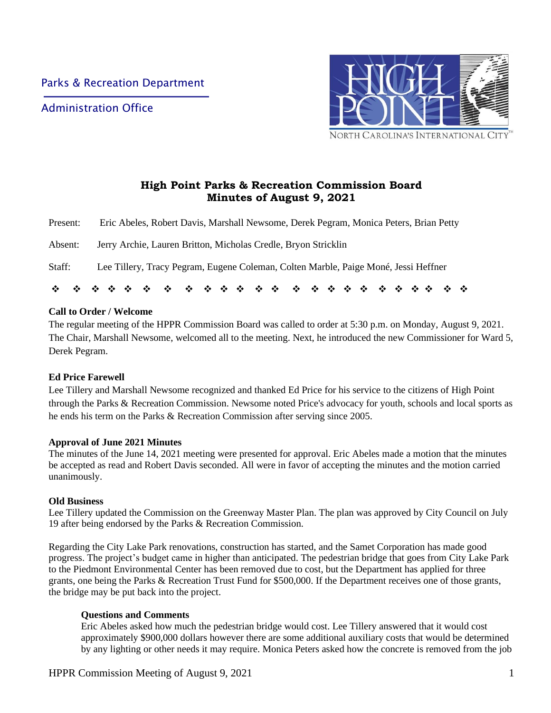Administration Office



# **High Point Parks & Recreation Commission Board Minutes of August 9, 2021**

| Staff:   | Lee Tillery, Tracy Pegram, Eugene Coleman, Colten Marble, Paige Moné, Jessi Heffner   |
|----------|---------------------------------------------------------------------------------------|
| Absent:  | Jerry Archie, Lauren Britton, Micholas Credle, Bryon Stricklin                        |
| Present: | Eric Abeles, Robert Davis, Marshall Newsome, Derek Pegram, Monica Peters, Brian Petty |

### **Call to Order / Welcome**

The regular meeting of the HPPR Commission Board was called to order at 5:30 p.m. on Monday, August 9, 2021. The Chair, Marshall Newsome, welcomed all to the meeting. Next, he introduced the new Commissioner for Ward 5, Derek Pegram.

# **Ed Price Farewell**

Lee Tillery and Marshall Newsome recognized and thanked Ed Price for his service to the citizens of High Point through the Parks & Recreation Commission. Newsome noted Price's advocacy for youth, schools and local sports as he ends his term on the Parks & Recreation Commission after serving since 2005.

#### **Approval of June 2021 Minutes**

The minutes of the June 14, 2021 meeting were presented for approval. Eric Abeles made a motion that the minutes be accepted as read and Robert Davis seconded. All were in favor of accepting the minutes and the motion carried unanimously.

#### **Old Business**

Lee Tillery updated the Commission on the Greenway Master Plan. The plan was approved by City Council on July 19 after being endorsed by the Parks & Recreation Commission.

Regarding the City Lake Park renovations, construction has started, and the Samet Corporation has made good progress. The project's budget came in higher than anticipated. The pedestrian bridge that goes from City Lake Park to the Piedmont Environmental Center has been removed due to cost, but the Department has applied for three grants, one being the Parks & Recreation Trust Fund for \$500,000. If the Department receives one of those grants, the bridge may be put back into the project.

#### **Questions and Comments**

Eric Abeles asked how much the pedestrian bridge would cost. Lee Tillery answered that it would cost approximately \$900,000 dollars however there are some additional auxiliary costs that would be determined by any lighting or other needs it may require. Monica Peters asked how the concrete is removed from the job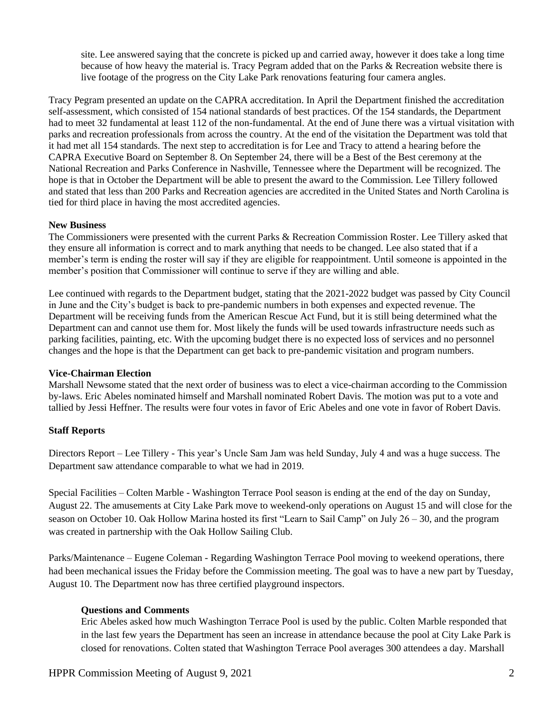site. Lee answered saying that the concrete is picked up and carried away, however it does take a long time because of how heavy the material is. Tracy Pegram added that on the Parks & Recreation website there is live footage of the progress on the City Lake Park renovations featuring four camera angles.

Tracy Pegram presented an update on the CAPRA accreditation. In April the Department finished the accreditation self-assessment, which consisted of 154 national standards of best practices. Of the 154 standards, the Department had to meet 32 fundamental at least 112 of the non-fundamental. At the end of June there was a virtual visitation with parks and recreation professionals from across the country. At the end of the visitation the Department was told that it had met all 154 standards. The next step to accreditation is for Lee and Tracy to attend a hearing before the CAPRA Executive Board on September 8. On September 24, there will be a Best of the Best ceremony at the National Recreation and Parks Conference in Nashville, Tennessee where the Department will be recognized. The hope is that in October the Department will be able to present the award to the Commission. Lee Tillery followed and stated that less than 200 Parks and Recreation agencies are accredited in the United States and North Carolina is tied for third place in having the most accredited agencies.

#### **New Business**

The Commissioners were presented with the current Parks & Recreation Commission Roster. Lee Tillery asked that they ensure all information is correct and to mark anything that needs to be changed. Lee also stated that if a member's term is ending the roster will say if they are eligible for reappointment. Until someone is appointed in the member's position that Commissioner will continue to serve if they are willing and able.

Lee continued with regards to the Department budget, stating that the 2021-2022 budget was passed by City Council in June and the City's budget is back to pre-pandemic numbers in both expenses and expected revenue. The Department will be receiving funds from the American Rescue Act Fund, but it is still being determined what the Department can and cannot use them for. Most likely the funds will be used towards infrastructure needs such as parking facilities, painting, etc. With the upcoming budget there is no expected loss of services and no personnel changes and the hope is that the Department can get back to pre-pandemic visitation and program numbers.

#### **Vice-Chairman Election**

Marshall Newsome stated that the next order of business was to elect a vice-chairman according to the Commission by-laws. Eric Abeles nominated himself and Marshall nominated Robert Davis. The motion was put to a vote and tallied by Jessi Heffner. The results were four votes in favor of Eric Abeles and one vote in favor of Robert Davis.

#### **Staff Reports**

Directors Report – Lee Tillery - This year's Uncle Sam Jam was held Sunday, July 4 and was a huge success. The Department saw attendance comparable to what we had in 2019.

Special Facilities – Colten Marble - Washington Terrace Pool season is ending at the end of the day on Sunday, August 22. The amusements at City Lake Park move to weekend-only operations on August 15 and will close for the season on October 10. Oak Hollow Marina hosted its first "Learn to Sail Camp" on July 26 – 30, and the program was created in partnership with the Oak Hollow Sailing Club.

Parks/Maintenance – Eugene Coleman - Regarding Washington Terrace Pool moving to weekend operations, there had been mechanical issues the Friday before the Commission meeting. The goal was to have a new part by Tuesday, August 10. The Department now has three certified playground inspectors.

#### **Questions and Comments**

Eric Abeles asked how much Washington Terrace Pool is used by the public. Colten Marble responded that in the last few years the Department has seen an increase in attendance because the pool at City Lake Park is closed for renovations. Colten stated that Washington Terrace Pool averages 300 attendees a day. Marshall